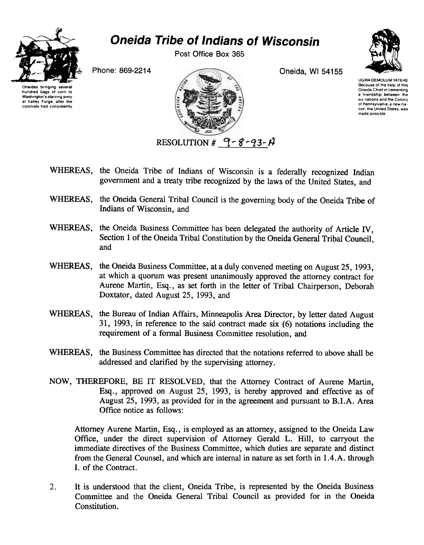

## Oneida Tribe of Indians of Wisconsin

Post Office Box 365

idas bringing hundred bags of corn to Washington's starving army at Valley Forge, after the colonists had consistently



UGWA DEMOLUM YATEHE Because of the help of this Oneida Chief In cementing a friendship between the six nations and the Colony of Pennsylvania. a new nation, the United States, was made possible

- WHEREAS, the Oneida Tribe of Indians of Wisconsin is a federally recognized Indian government and a treaty tribe recognized by the laws of the United States, and
- WHEREAS, the Oneida General Tribal Council is the governing body of the Oneida Tribe of Indians of Wisconsin, and
- WHEREAS, the Oneida Business Committee has been delegated the authority of Article IV, Section I of the Oneida Tribal Constitution by the Oneida General Tribal Council, and
- WHEREAS, the Oneida Business Committee, at a duly convened meeting on August 25, 1993. at which a quorum was present unanimously approved the attorney contract for Aurene Martin, Esq., as set forth in the letter of Tribal Chairperson, Deborah Doxtator, dated August 25, 1993, and
- WHEREAS, the Bureau of Indian Affairs, Minneapolis Area Director, by letter dated August 31, 1993, in reference to the said contract made six (6) notations including the requirement of a formal Business Committee resolution, and
- WHEREAS, the Business Committee has directed that the notations referred to above shall be addressed and clarified by the supervising attorney.
- NOW, THEREFORE, BE IT RESOLVED, that the Attorney Contract of Aurene Martin, Esq., approved on August 25, 1993, is hereby approved and effective as of August 25, 1993, as provided for in the agreement and pursuant to B.I.A. Area Office notice as follows:

Attorney Aurene Martin, Esq., is employed as an attorney, assigned to the Oneida Law Office, under the direct supervision of Attorney Gerald L. Hill, to carryout the immediate directives of the Business Committee, which duties are separate and distinct from the General Counsel, and which are internal in nature as set forth in 1.4.A. through I. of the Contract.

 $2.$ It is understood that the client, Oneida Tribe, is represented by the Oneida Business Committee and the Oneida General Tribal Council as provided for in the Oneida Constitution.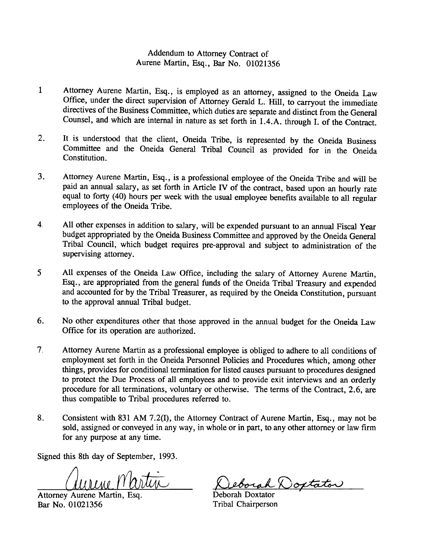## Addendum to Attorney Contract of Aurene Martin, Esq., Bar No. 01021356

- 1 Attorney Aurene Martin, Esq., is employed as an attorney, assigned to the Oneida Law Office, under the direct supervision of Attorney Gerald L. Hill, to carryout the immediate directives of the Business Committee, which duties are separate and distinct from the General Counsel, and which are internal in nature as set forth in 1.4.A. through I. of the Contract.
- $2<sup>1</sup>$ It is understood that the client, Oneida Tribe, is represented by the Oneida Business Committee and the Oneida General Tribal Council as provided for in the Oneida Constitution.
- Attorney Aurene Martin, Esq., is a professional employee of the Oneida Tribe and will be  $3<sub>1</sub>$ paid an annual salary, as set forth in Article IV of the contract, based upon an hourly rate equal to forty (40) hours per week with the usual employee benefits available to all regular employees of the Oneida Tribe.
- 4, All other expenses in addition to salary, will be expended pursuant to an annual Fiscal Year budget appropriated by the Oneida Business Committee and approved by the Oneida General Tribal Council, which budget requires pre-approval and subject to administration of the supervising attorney.
- 5 All expenses of the Oneida Law Office, including the salary of Attorney Aurene Martin, Esq., are appropriated from the general funds of the Oneida Tribal Treasury and expended and accounted for by the Tribal Treasurer, as required by the Oneida Constitution, pursuant to the approval annual Tribal budget.
- Office for its operation are authorized.
- 6. No other expenditures other that those approved in the annual budget for the Oneida Law<br>
Office for its operation are authorized.<br>
7. Atomey Aurene Martin as a professional employee is obliged to adhere to all conditio 7. Attorney Aurene Martin as a professional employee is obliged to adhere to all conditions of employment set forth in the Oneida Personnel Policies and Procedures which, among other things, provides for conditional termination for listed causes pursuant to procedures designed to protect the Due Process of all employees and to provide exit interviews and an orderly procedure for all terminations, voluntary or otherwise. The terms of the Contract, 2.6, are thus compatible to Tribal procedures referred to.
	- 8. Consistent with 831 AM 7.2(1), the Attorney Contract of Aurene Martin, Esq., may not be sold, assigned or conveyed in any way, in whole or in part, to any other attorney or law firm for any purpose at any time.

Signed this 8th day of September, 1993.

<u>(durine Mart</u>

Attorney Aurene Martin, Esq. Bar No. 01021356

eborah Doxtator

Deborah Doxtator Tribal Chairperson